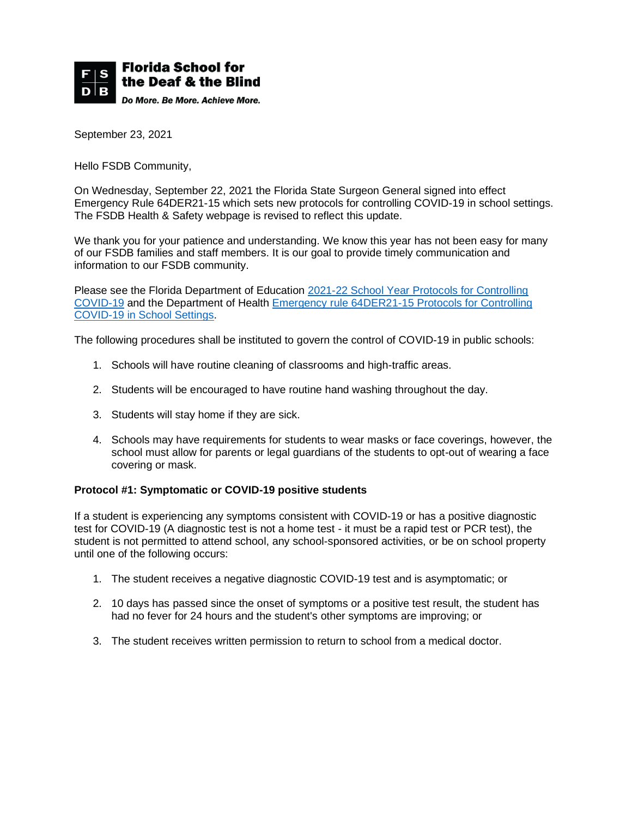

September 23, 2021

Hello FSDB Community,

On Wednesday, September 22, 2021 the Florida State Surgeon General signed into effect Emergency Rule 64DER21-15 which sets new protocols for controlling COVID-19 in school settings. The FSDB Health & Safety webpage is revised to reflect this update.

We thank you for your patience and understanding. We know this year has not been easy for many of our FSDB families and staff members. It is our goal to provide timely communication and information to our FSDB community.

Please see the Florida Department of Education [2021-22 School Year Protocols for Controlling](https://29a731b7-b1dd-4995-a2ae-32450856bcb1.filesusr.com/ugd/527372_0689ad0ee9654c22a1d1808037299a0b.pdf)  [COVID-19](https://29a731b7-b1dd-4995-a2ae-32450856bcb1.filesusr.com/ugd/527372_0689ad0ee9654c22a1d1808037299a0b.pdf) and the Department of Health [Emergency rule 64DER21-15 Protocols for Controlling](https://floridahealthcovid19.gov/wp-content/uploads/2021/09/64DER21-15.pdf)  [COVID-19 in School Settings.](https://floridahealthcovid19.gov/wp-content/uploads/2021/09/64DER21-15.pdf)

The following procedures shall be instituted to govern the control of COVID-19 in public schools:

- 1. Schools will have routine cleaning of classrooms and high-traffic areas.
- 2. Students will be encouraged to have routine hand washing throughout the day.
- 3. Students will stay home if they are sick.
- 4. Schools may have requirements for students to wear masks or face coverings, however, the school must allow for parents or legal guardians of the students to opt-out of wearing a face covering or mask.

## **Protocol #1: Symptomatic or COVID-19 positive students**

If a student is experiencing any symptoms consistent with COVID-19 or has a positive diagnostic test for COVID-19 (A diagnostic test is not a home test - it must be a rapid test or PCR test), the student is not permitted to attend school, any school-sponsored activities, or be on school property until one of the following occurs:

- 1. The student receives a negative diagnostic COVID-19 test and is asymptomatic; or
- 2. 10 days has passed since the onset of symptoms or a positive test result, the student has had no fever for 24 hours and the student's other symptoms are improving; or
- 3. The student receives written permission to return to school from a medical doctor.